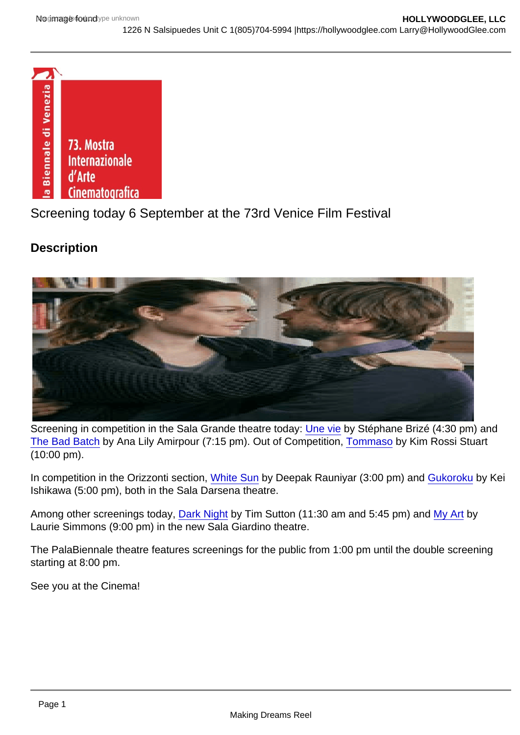## Screening today 6 September at the 73rd Venice Film Festival

**Description** 

Screening in competition in the Sala Grande theatre today: [Une vie](http://www.labiennale.org/en/cinema/73rd-festival/line-up/off-sel/venezia73/une-vie.html) by Stéphane Brizé (4:30 pm) and [The Bad Batch](http://www.labiennale.org/en/cinema/73rd-festival/line-up/off-sel/venezia73/the-bad-batch.html) by Ana Lily Amirpour (7:15 pm). Out of Competition, [Tommaso](http://www.labiennale.org/en/cinema/73rd-festival/line-up/off-sel/out-of-competition/tommaso.html) by Kim Rossi Stuart (10:00 pm).

In competition in the Orizzonti section, [White Sun](http://www.labiennale.org/en/cinema/73rd-festival/line-up/off-sel/orizzonti/white-sun.html) by Deepak Rauniyar (3:00 pm) and [Gukoroku](http://www.labiennale.org/en/cinema/73rd-festival/line-up/off-sel/orizzonti/gukoroku.html) by Kei Ishikawa (5:00 pm), both in the Sala Darsena theatre.

Among other screenings today, [Dark Night](http://www.labiennale.org/en/cinema/73rd-festival/line-up/off-sel/orizzonti/dark-night.html) by Tim Sutton (11:30 am and 5:45 pm) and [My Art](http://www.labiennale.org/en/cinema/73rd-festival/line-up/off-sel/cinema-nel-giardino/my-art.html) by Laurie Simmons (9:00 pm) in the new Sala Giardino theatre.

The PalaBiennale theatre features screenings for the public from 1:00 pm until the double screening starting at 8:00 pm.

See you at the Cinema!